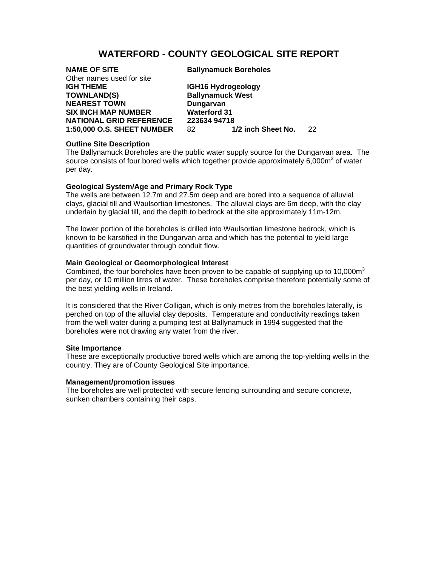# **WATERFORD - COUNTY GEOLOGICAL SITE REPORT**

| <b>NAME OF SITE</b><br>Other names used for site | <b>Ballynamuck Boreholes</b>     |  |
|--------------------------------------------------|----------------------------------|--|
| <b>IGH THEME</b>                                 | IGH16 Hydrogeology               |  |
| <b>TOWNLAND(S)</b>                               | <b>Ballynamuck West</b>          |  |
| <b>NEAREST TOWN</b>                              | Dungarvan                        |  |
| <b>SIX INCH MAP NUMBER</b>                       | <b>Waterford 31</b>              |  |
| <b>NATIONAL GRID REFERENCE</b>                   | 223634 94718                     |  |
| 1:50,000 O.S. SHEET NUMBER                       | 1/2 inch Sheet No.<br>22.<br>82. |  |
|                                                  |                                  |  |

# **Outline Site Description**

The Ballynamuck Boreholes are the public water supply source for the Dungarvan area. The source consists of four bored wells which together provide approximately  $6,000m^3$  of water per day.

#### **Geological System/Age and Primary Rock Type**

The wells are between 12.7m and 27.5m deep and are bored into a sequence of alluvial clays, glacial till and Waulsortian limestones. The alluvial clays are 6m deep, with the clay underlain by glacial till, and the depth to bedrock at the site approximately 11m-12m.

The lower portion of the boreholes is drilled into Waulsortian limestone bedrock, which is known to be karstified in the Dungarvan area and which has the potential to yield large quantities of groundwater through conduit flow.

# **Main Geological or Geomorphological Interest**

Combined, the four boreholes have been proven to be capable of supplying up to  $10,000\,\text{m}^3$ per day, or 10 million litres of water. These boreholes comprise therefore potentially some of the best yielding wells in Ireland.

It is considered that the River Colligan, which is only metres from the boreholes laterally, is perched on top of the alluvial clay deposits. Temperature and conductivity readings taken from the well water during a pumping test at Ballynamuck in 1994 suggested that the boreholes were not drawing any water from the river.

## **Site Importance**

These are exceptionally productive bored wells which are among the top-yielding wells in the country. They are of County Geological Site importance.

## **Management/promotion issues**

The boreholes are well protected with secure fencing surrounding and secure concrete, sunken chambers containing their caps.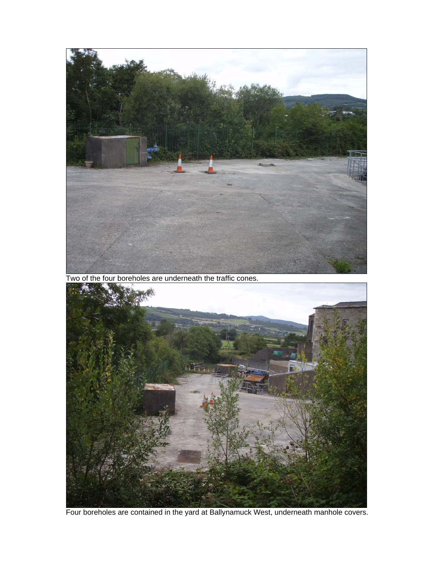

Two of the four boreholes are underneath the traffic cones.



Four boreholes are contained in the yard at Ballynamuck West, underneath manhole covers.